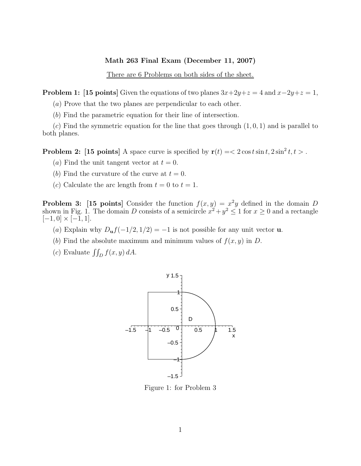## Math 263 Final Exam (December 11, 2007)

There are 6 Problems on both sides of the sheet.

**Problem 1:** [15 points] Given the equations of two planes  $3x+2y+z=4$  and  $x-2y+z=1$ ,

(a) Prove that the two planes are perpendicular to each other.

(b) Find the parametric equation for their line of intersection.

 $(c)$  Find the symmetric equation for the line that goes through  $(1, 0, 1)$  and is parallel to both planes.

**Problem 2:** [15 points] A space curve is specified by  $\mathbf{r}(t) = \langle 2\cos t \sin t, 2\sin^2 t, t \rangle$ .

(a) Find the unit tangent vector at  $t = 0$ .

(b) Find the curvature of the curve at  $t = 0$ .

(c) Calculate the arc length from  $t = 0$  to  $t = 1$ .

**Problem 3:** [15 points] Consider the function  $f(x, y) = x^2y$  defined in the domain D shown in Fig. 1. The domain D consists of a semicircle  $x^2 + y^2 \leq 1$  for  $x \geq 0$  and a rectangle  $[-1, 0] \times [-1, 1].$ 

- (a) Explain why  $D_{\mathbf{u}}f(-1/2, 1/2) = -1$  is not possible for any unit vector **u**.
- (b) Find the absolute maximum and minimum values of  $f(x, y)$  in D.

(c) Evaluate  $\iint_D f(x, y) dA$ .



Figure 1: for Problem 3